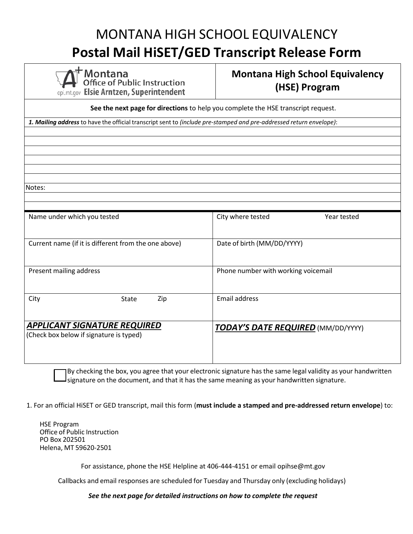## MONTANA HIGH SCHOOL EQUIVALENCY **Postal Mail HiSET/GED Transcript Release Form**

Montana **Office of Public Instruction** opi.mt.gov Elsie Arntzen, Superintendent

### **Montana High School Equivalency (HSE) Program**

**See the next page for directions** to help you complete the HSE transcript request. *1. Mailing address* to have the official transcriptsent to *(include pre-stamped and pre-addressed return envelope)*: Notes: Name under which you tested **City where tested** City where tested Year tested Current name (if it is different from the one above) Date of birth (MM/DD/YYYY) Present mailing address **Present mailing address Phone number with working voicemail** City State Zip Email address *APPLICANT SIGNATURE REQUIRED* (Check box below if signature is typed) *TODAY'S DATE REQUIRED* (MM/DD/YYYY)

By checking the box, you agree that your electronic signature has the same legal validity as your handwritten  $J$ signature on the document, and that it has the same meaning as your handwritten signature.

1. For an official HiSET or GED transcript, mail this form (**must include a stamped and pre-addressed return envelope**) to:

HSE Program Office of Public Instruction PO Box 202501 Helena, MT 59620-2501

For assistance, phone the HSE Helpline at 406-444-4151 or email [opihse@mt.gov](mailto:opihse@mt.gov)

Callbacks and email responses are scheduled for Tuesday and Thursday only (excluding holidays)

*See the next page for detailed instructions on how to complete the request*